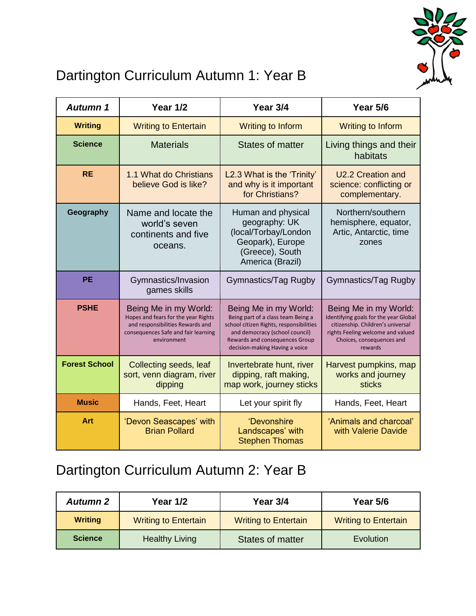

## Dartington Curriculum Autumn 1: Year B

| Autumn 1             | <b>Year 1/2</b>                                                                                                                                        | Year 3/4                                                                                                                                                                                                     | Year 5/6                                                                                                                                                                         |
|----------------------|--------------------------------------------------------------------------------------------------------------------------------------------------------|--------------------------------------------------------------------------------------------------------------------------------------------------------------------------------------------------------------|----------------------------------------------------------------------------------------------------------------------------------------------------------------------------------|
| <b>Writing</b>       | <b>Writing to Entertain</b>                                                                                                                            | <b>Writing to Inform</b>                                                                                                                                                                                     | <b>Writing to Inform</b>                                                                                                                                                         |
| <b>Science</b>       | <b>Materials</b>                                                                                                                                       | <b>States of matter</b>                                                                                                                                                                                      | Living things and their<br>habitats                                                                                                                                              |
| <b>RE</b>            | 1.1 What do Christians<br>believe God is like?                                                                                                         | L2.3 What is the 'Trinity'<br>and why is it important<br>for Christians?                                                                                                                                     | U2.2 Creation and<br>science: conflicting or<br>complementary.                                                                                                                   |
| Geography            | Name and locate the<br>world's seven<br>continents and five<br>oceans.                                                                                 | Human and physical<br>geography: UK<br>(local/Torbay/London<br>Geopark), Europe<br>(Greece), South<br>America (Brazil)                                                                                       | Northern/southern<br>hemisphere, equator,<br>Artic, Antarctic, time<br>zones                                                                                                     |
| <b>PE</b>            | Gymnastics/Invasion<br>games skills                                                                                                                    | Gymnastics/Tag Rugby                                                                                                                                                                                         | Gymnastics/Tag Rugby                                                                                                                                                             |
| <b>PSHE</b>          | Being Me in my World:<br>Hopes and fears for the year Rights<br>and responsibilities Rewards and<br>consequences Safe and fair learning<br>environment | Being Me in my World:<br>Being part of a class team Being a<br>school citizen Rights, responsibilities<br>and democracy (school council)<br>Rewards and consequences Group<br>decision-making Having a voice | Being Me in my World:<br>Identifying goals for the year Global<br>citizenship. Children's universal<br>rights Feeling welcome and valued<br>Choices, consequences and<br>rewards |
| <b>Forest School</b> | Collecting seeds, leaf<br>sort, venn diagram, river<br>dipping                                                                                         | Invertebrate hunt, river<br>dipping, raft making,<br>map work, journey sticks                                                                                                                                | Harvest pumpkins, map<br>works and journey<br><b>sticks</b>                                                                                                                      |
| <b>Music</b>         | Hands, Feet, Heart                                                                                                                                     | Let your spirit fly                                                                                                                                                                                          | Hands, Feet, Heart                                                                                                                                                               |
| Art                  | 'Devon Seascapes' with<br><b>Brian Pollard</b>                                                                                                         | 'Devonshire<br>Landscapes' with<br><b>Stephen Thomas</b>                                                                                                                                                     | 'Animals and charcoal'<br>with Valerie Davide                                                                                                                                    |

## Dartington Curriculum Autumn 2: Year B

| <b>Autumn 2</b> | <b>Year 1/2</b>             | Year 3/4                    | Year 5/6                    |
|-----------------|-----------------------------|-----------------------------|-----------------------------|
| <b>Writing</b>  | <b>Writing to Entertain</b> | <b>Writing to Entertain</b> | <b>Writing to Entertain</b> |
| <b>Science</b>  | <b>Healthy Living</b>       | <b>States of matter</b>     | Evolution                   |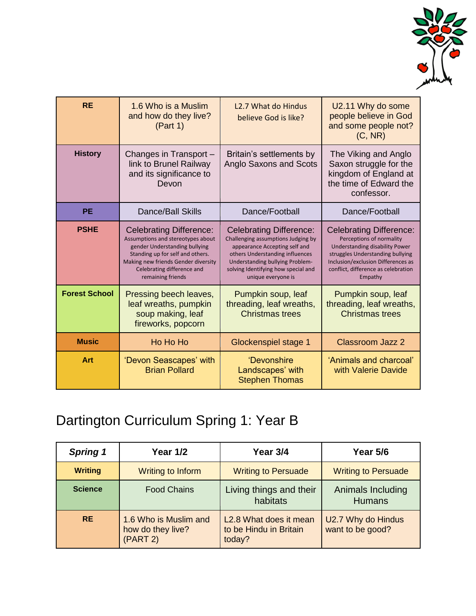

| <b>RE</b>            | 1.6 Who is a Muslim<br>and how do they live?<br>(Part 1)                                                                                                                                                                           | <b>L2.7 What do Hindus</b><br>believe God is like?                                                                                                                                                                                       | U2.11 Why do some<br>people believe in God<br>and some people not?<br>(C, NR)                                                                                                                                            |
|----------------------|------------------------------------------------------------------------------------------------------------------------------------------------------------------------------------------------------------------------------------|------------------------------------------------------------------------------------------------------------------------------------------------------------------------------------------------------------------------------------------|--------------------------------------------------------------------------------------------------------------------------------------------------------------------------------------------------------------------------|
| <b>History</b>       | Changes in Transport -<br>link to Brunel Railway<br>and its significance to<br>Devon                                                                                                                                               | Britain's settlements by<br>Anglo Saxons and Scots                                                                                                                                                                                       | The Viking and Anglo<br>Saxon struggle for the<br>kingdom of England at<br>the time of Edward the<br>confessor.                                                                                                          |
| <b>PE</b>            | <b>Dance/Ball Skills</b>                                                                                                                                                                                                           | Dance/Football                                                                                                                                                                                                                           | Dance/Football                                                                                                                                                                                                           |
| <b>PSHE</b>          | <b>Celebrating Difference:</b><br>Assumptions and stereotypes about<br>gender Understanding bullying<br>Standing up for self and others.<br>Making new friends Gender diversity<br>Celebrating difference and<br>remaining friends | <b>Celebrating Difference:</b><br>Challenging assumptions Judging by<br>appearance Accepting self and<br>others Understanding influences<br>Understanding bullying Problem-<br>solving Identifying how special and<br>unique everyone is | <b>Celebrating Difference:</b><br>Perceptions of normality<br>Understanding disability Power<br>struggles Understanding bullying<br>Inclusion/exclusion Differences as<br>conflict, difference as celebration<br>Empathy |
| <b>Forest School</b> | Pressing beech leaves,<br>leaf wreaths, pumpkin<br>soup making, leaf<br>fireworks, popcorn                                                                                                                                         | Pumpkin soup, leaf<br>threading, leaf wreaths,<br><b>Christmas trees</b>                                                                                                                                                                 | Pumpkin soup, leaf<br>threading, leaf wreaths,<br><b>Christmas trees</b>                                                                                                                                                 |
| <b>Music</b>         | Ho Ho Ho                                                                                                                                                                                                                           | Glockenspiel stage 1                                                                                                                                                                                                                     | <b>Classroom Jazz 2</b>                                                                                                                                                                                                  |
| Art                  | 'Devon Seascapes' with<br><b>Brian Pollard</b>                                                                                                                                                                                     | 'Devonshire<br>Landscapes' with<br><b>Stephen Thomas</b>                                                                                                                                                                                 | 'Animals and charcoal'<br>with Valerie Davide                                                                                                                                                                            |

# Dartington Curriculum Spring 1: Year B

| <b>Spring 1</b> | <b>Year 1/2</b>                                        | Year 3/4                                                   | Year 5/6                               |
|-----------------|--------------------------------------------------------|------------------------------------------------------------|----------------------------------------|
| <b>Writing</b>  | Writing to Inform                                      | <b>Writing to Persuade</b>                                 | <b>Writing to Persuade</b>             |
| <b>Science</b>  | <b>Food Chains</b>                                     | Living things and their<br>habitats                        | Animals Including<br><b>Humans</b>     |
| <b>RE</b>       | 1.6 Who is Muslim and<br>how do they live?<br>(PART 2) | L2.8 What does it mean<br>to be Hindu in Britain<br>today? | U2.7 Why do Hindus<br>want to be good? |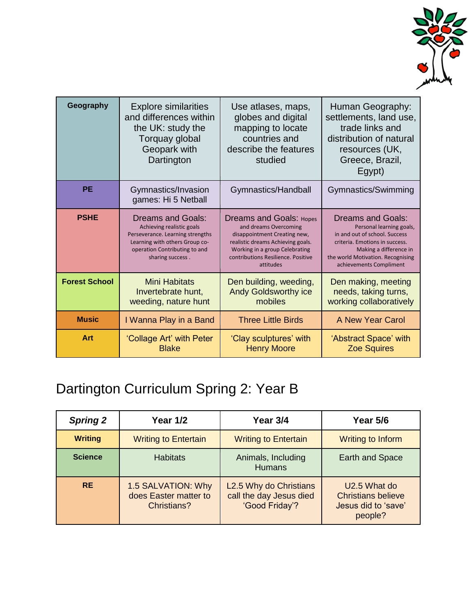

| Geography            | <b>Explore similarities</b><br>and differences within<br>the UK: study the<br>Torquay global<br>Geopark with<br>Dartington                                                       | Use atlases, maps,<br>globes and digital<br>mapping to locate<br>countries and<br>describe the features<br>studied                                                                                                | Human Geography:<br>settlements, land use,<br>trade links and<br>distribution of natural<br>resources (UK,<br>Greece, Brazil,<br>Egypt)                                                                           |
|----------------------|----------------------------------------------------------------------------------------------------------------------------------------------------------------------------------|-------------------------------------------------------------------------------------------------------------------------------------------------------------------------------------------------------------------|-------------------------------------------------------------------------------------------------------------------------------------------------------------------------------------------------------------------|
| <b>PE</b>            | Gymnastics/Invasion<br>games: Hi 5 Netball                                                                                                                                       | Gymnastics/Handball                                                                                                                                                                                               | Gymnastics/Swimming                                                                                                                                                                                               |
| <b>PSHE</b>          | <b>Dreams and Goals:</b><br>Achieving realistic goals<br>Perseverance. Learning strengths<br>Learning with others Group co-<br>operation Contributing to and<br>sharing success. | <b>Dreams and Goals: Hopes</b><br>and dreams Overcoming<br>disappointment Creating new,<br>realistic dreams Achieving goals.<br>Working in a group Celebrating<br>contributions Resilience. Positive<br>attitudes | <b>Dreams and Goals:</b><br>Personal learning goals,<br>in and out of school. Success<br>criteria. Emotions in success.<br>Making a difference in<br>the world Motivation. Recognising<br>achievements Compliment |
| <b>Forest School</b> | Mini Habitats<br>Invertebrate hunt,<br>weeding, nature hunt                                                                                                                      | Den building, weeding,<br><b>Andy Goldsworthy ice</b><br>mobiles                                                                                                                                                  | Den making, meeting<br>needs, taking turns,<br>working collaboratively                                                                                                                                            |
| <b>Music</b>         | I Wanna Play in a Band                                                                                                                                                           | <b>Three Little Birds</b>                                                                                                                                                                                         | A New Year Carol                                                                                                                                                                                                  |
| Art                  | 'Collage Art' with Peter<br><b>Blake</b>                                                                                                                                         | 'Clay sculptures' with<br><b>Henry Moore</b>                                                                                                                                                                      | 'Abstract Space' with<br><b>Zoe Squires</b>                                                                                                                                                                       |

# Dartington Curriculum Spring 2: Year B

| <b>Spring 2</b> | <b>Year 1/2</b>                                            | Year 3/4                                                            | <b>Year 5/6</b>                                                             |
|-----------------|------------------------------------------------------------|---------------------------------------------------------------------|-----------------------------------------------------------------------------|
| <b>Writing</b>  | <b>Writing to Entertain</b>                                | <b>Writing to Entertain</b>                                         | Writing to Inform                                                           |
| <b>Science</b>  | <b>Habitats</b>                                            | Animals, Including<br><b>Humans</b>                                 | <b>Earth and Space</b>                                                      |
| <b>RE</b>       | 1.5 SALVATION: Why<br>does Easter matter to<br>Christians? | L2.5 Why do Christians<br>call the day Jesus died<br>'Good Friday'? | U2.5 What do<br><b>Christians believe</b><br>Jesus did to 'save'<br>people? |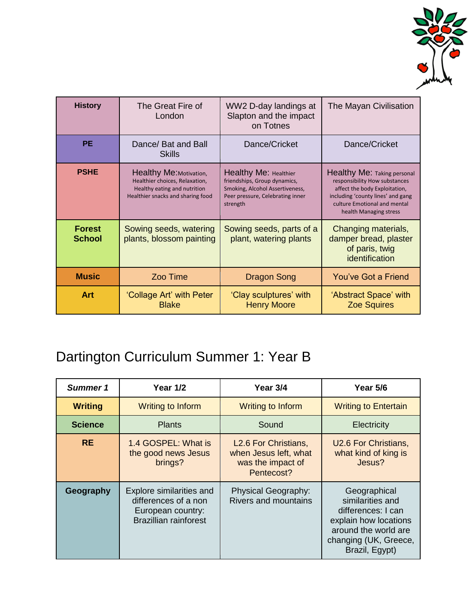

| <b>History</b>                 | The Great Fire of<br>London                                                                                                    | WW2 D-day landings at<br>Slapton and the impact<br>on Totnes                                                                             | The Mayan Civilisation                                                                                                                                                                              |
|--------------------------------|--------------------------------------------------------------------------------------------------------------------------------|------------------------------------------------------------------------------------------------------------------------------------------|-----------------------------------------------------------------------------------------------------------------------------------------------------------------------------------------------------|
| <b>PE</b>                      | Dance/ Bat and Ball<br><b>Skills</b>                                                                                           | Dance/Cricket                                                                                                                            | Dance/Cricket                                                                                                                                                                                       |
| <b>PSHE</b>                    | Healthy Me: Motivation,<br>Healthier choices, Relaxation,<br>Healthy eating and nutrition<br>Healthier snacks and sharing food | Healthy Me: Healthier<br>friendships, Group dynamics,<br>Smoking, Alcohol Assertiveness,<br>Peer pressure, Celebrating inner<br>strength | <b>Healthy Me: Taking personal</b><br>responsibility How substances<br>affect the body Exploitation,<br>including 'county lines' and gang<br>culture Emotional and mental<br>health Managing stress |
| <b>Forest</b><br><b>School</b> | Sowing seeds, watering<br>plants, blossom painting                                                                             | Sowing seeds, parts of a<br>plant, watering plants                                                                                       | Changing materials,<br>damper bread, plaster<br>of paris, twig<br>identification                                                                                                                    |
| <b>Music</b>                   | Zoo Time                                                                                                                       | <b>Dragon Song</b>                                                                                                                       | You've Got a Friend                                                                                                                                                                                 |
| Art                            | 'Collage Art' with Peter<br><b>Blake</b>                                                                                       | 'Clay sculptures' with<br><b>Henry Moore</b>                                                                                             | 'Abstract Space' with<br><b>Zoe Squires</b>                                                                                                                                                         |

# Dartington Curriculum Summer 1: Year B

| Summer 1       | <b>Year 1/2</b>                                                                                       | Year 3/4                                                                                     | Year 5/6                                                                                                                                           |
|----------------|-------------------------------------------------------------------------------------------------------|----------------------------------------------------------------------------------------------|----------------------------------------------------------------------------------------------------------------------------------------------------|
| <b>Writing</b> | Writing to Inform                                                                                     | Writing to Inform                                                                            | <b>Writing to Entertain</b>                                                                                                                        |
| <b>Science</b> | <b>Plants</b>                                                                                         | Sound                                                                                        | Electricity                                                                                                                                        |
| <b>RE</b>      | 1.4 GOSPEL: What is<br>the good news Jesus<br>brings?                                                 | L <sub>2.6</sub> For Christians,<br>when Jesus left, what<br>was the impact of<br>Pentecost? | U2.6 For Christians,<br>what kind of king is<br>Jesus?                                                                                             |
| Geography      | Explore similarities and<br>differences of a non<br>European country:<br><b>Brazillian rainforest</b> | Physical Geography:<br>Rivers and mountains                                                  | Geographical<br>similarities and<br>differences: I can<br>explain how locations<br>around the world are<br>changing (UK, Greece,<br>Brazil, Egypt) |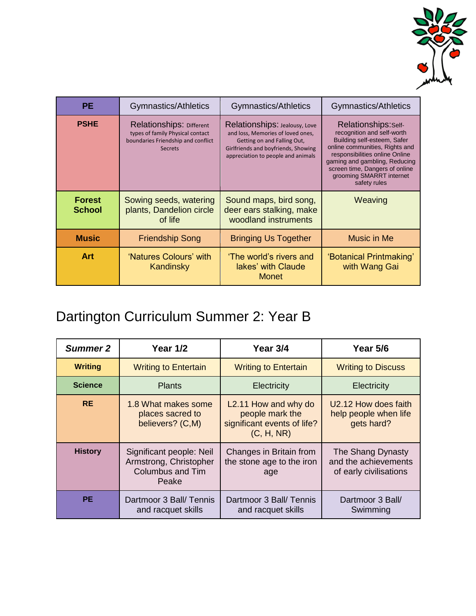

| <b>PE</b>                      | Gymnastics/Athletics                                                                                                 | Gymnastics/Athletics                                                                                                                                                           | Gymnastics/Athletics                                                                                                                                                                                                                                                |
|--------------------------------|----------------------------------------------------------------------------------------------------------------------|--------------------------------------------------------------------------------------------------------------------------------------------------------------------------------|---------------------------------------------------------------------------------------------------------------------------------------------------------------------------------------------------------------------------------------------------------------------|
| <b>PSHE</b>                    | Relationships: Different<br>types of family Physical contact<br>boundaries Friendship and conflict<br><b>Secrets</b> | Relationships: Jealousy, Love<br>and loss, Memories of loved ones,<br>Getting on and Falling Out,<br>Girlfriends and boyfriends, Showing<br>appreciation to people and animals | Relationships:self-<br>recognition and self-worth<br>Building self-esteem, Safer<br>online communities, Rights and<br>responsibilities online Online<br>gaming and gambling, Reducing<br>screen time, Dangers of online<br>grooming SMARRT internet<br>safety rules |
| <b>Forest</b><br><b>School</b> | Sowing seeds, watering<br>plants, Dandelion circle<br>of life                                                        | Sound maps, bird song,<br>deer ears stalking, make<br>woodland instruments                                                                                                     | Weaving                                                                                                                                                                                                                                                             |
| <b>Music</b>                   | <b>Friendship Song</b>                                                                                               | <b>Bringing Us Together</b>                                                                                                                                                    | Music in Me                                                                                                                                                                                                                                                         |
| <b>Art</b>                     | 'Natures Colours' with<br>Kandinsky                                                                                  | 'The world's rivers and<br>lakes' with Claude<br><b>Monet</b>                                                                                                                  | 'Botanical Printmaking'<br>with Wang Gai                                                                                                                                                                                                                            |

#### Dartington Curriculum Summer 2: Year B

| Summer 2       | <b>Year 1/2</b>                                                                 | Year 3/4                                                                                          | <b>Year 5/6</b>                                                     |
|----------------|---------------------------------------------------------------------------------|---------------------------------------------------------------------------------------------------|---------------------------------------------------------------------|
| <b>Writing</b> | <b>Writing to Entertain</b>                                                     | <b>Writing to Entertain</b>                                                                       | <b>Writing to Discuss</b>                                           |
| <b>Science</b> | <b>Plants</b>                                                                   | Electricity                                                                                       | <b>Electricity</b>                                                  |
| <b>RE</b>      | 1.8 What makes some<br>places sacred to<br>believers? (C,M)                     | L <sub>2</sub> .11 How and why do<br>people mark the<br>significant events of life?<br>(C, H, NR) | U2.12 How does faith<br>help people when life<br>gets hard?         |
| <b>History</b> | Significant people: Neil<br>Armstrong, Christopher<br>Columbus and Tim<br>Peake | Changes in Britain from<br>the stone age to the iron<br>age                                       | The Shang Dynasty<br>and the achievements<br>of early civilisations |
| <b>PE</b>      | Dartmoor 3 Ball/ Tennis<br>and racquet skills                                   | Dartmoor 3 Ball/ Tennis<br>and racquet skills                                                     | Dartmoor 3 Ball/<br>Swimming                                        |